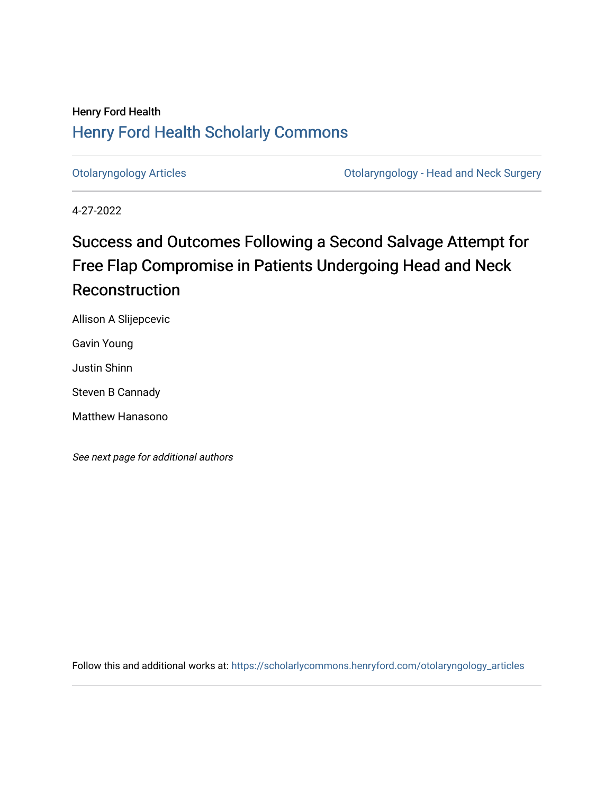# Henry Ford Health [Henry Ford Health Scholarly Commons](https://scholarlycommons.henryford.com/)

[Otolaryngology Articles](https://scholarlycommons.henryford.com/otolaryngology_articles) [Otolaryngology - Head and Neck Surgery](https://scholarlycommons.henryford.com/otolaryngology) 

4-27-2022

# Success and Outcomes Following a Second Salvage Attempt for Free Flap Compromise in Patients Undergoing Head and Neck **Reconstruction**

Allison A Slijepcevic

Gavin Young

Justin Shinn

Steven B Cannady

Matthew Hanasono

See next page for additional authors

Follow this and additional works at: [https://scholarlycommons.henryford.com/otolaryngology\\_articles](https://scholarlycommons.henryford.com/otolaryngology_articles?utm_source=scholarlycommons.henryford.com%2Fotolaryngology_articles%2F222&utm_medium=PDF&utm_campaign=PDFCoverPages)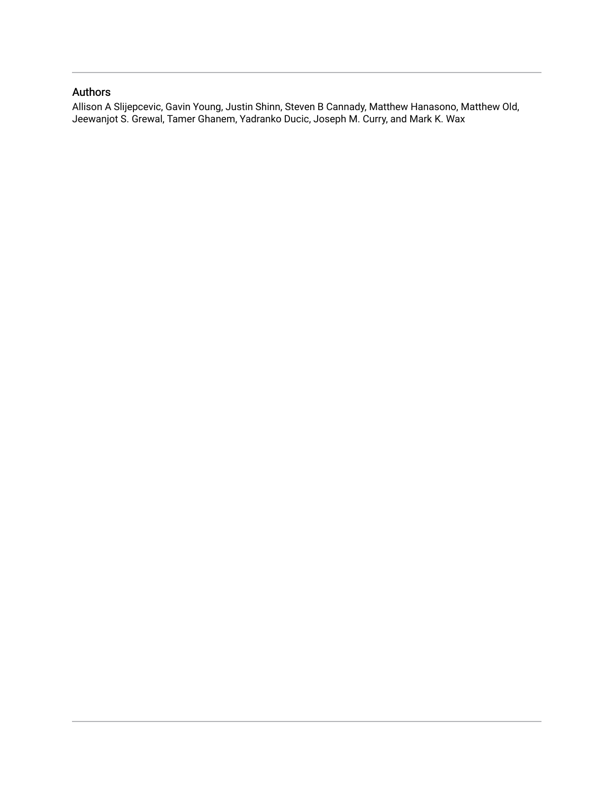## Authors

Allison A Slijepcevic, Gavin Young, Justin Shinn, Steven B Cannady, Matthew Hanasono, Matthew Old, Jeewanjot S. Grewal, Tamer Ghanem, Yadranko Ducic, Joseph M. Curry, and Mark K. Wax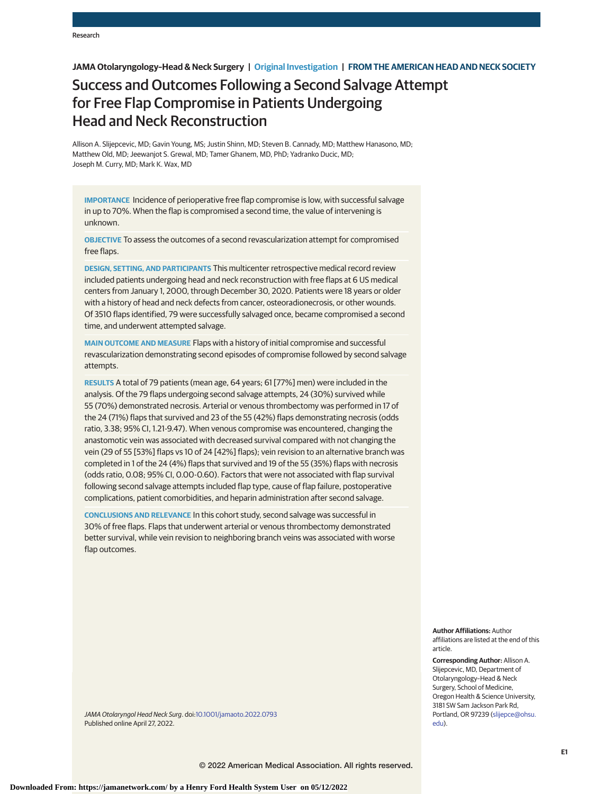## **JAMA Otolaryngology–Head & Neck Surgery | Original Investigation | FROM THE AMERICAN HEAD AND NECK SOCIETY**

# Success and Outcomes Following a Second Salvage Attempt for Free Flap Compromise in Patients Undergoing Head and Neck Reconstruction

Allison A. Slijepcevic, MD; Gavin Young, MS; Justin Shinn, MD; Steven B. Cannady, MD; Matthew Hanasono, MD; Matthew Old, MD; Jeewanjot S. Grewal, MD; Tamer Ghanem, MD, PhD; Yadranko Ducic, MD; Joseph M. Curry, MD; Mark K. Wax, MD

**IMPORTANCE** Incidence of perioperative free flap compromise is low, with successful salvage in up to 70%. When the flap is compromised a second time, the value of intervening is unknown.

**OBJECTIVE** To assess the outcomes of a second revascularization attempt for compromised free flaps.

**DESIGN, SETTING, AND PARTICIPANTS** This multicenter retrospective medical record review included patients undergoing head and neck reconstruction with free flaps at 6 US medical centers from January 1, 2000, through December 30, 2020. Patients were 18 years or older with a history of head and neck defects from cancer, osteoradionecrosis, or other wounds. Of 3510 flaps identified, 79 were successfully salvaged once, became compromised a second time, and underwent attempted salvage.

**MAIN OUTCOME AND MEASURE** Flaps with a history of initial compromise and successful revascularization demonstrating second episodes of compromise followed by second salvage attempts.

**RESULTS** A total of 79 patients (mean age, 64 years; 61 [77%] men) were included in the analysis. Of the 79 flaps undergoing second salvage attempts, 24 (30%) survived while 55 (70%) demonstrated necrosis. Arterial or venous thrombectomy was performed in 17 of the 24 (71%) flaps that survived and 23 of the 55 (42%) flaps demonstrating necrosis (odds ratio, 3.38; 95% CI, 1.21-9.47). When venous compromise was encountered, changing the anastomotic vein was associated with decreased survival compared with not changing the vein (29 of 55 [53%] flaps vs 10 of 24 [42%] flaps); vein revision to an alternative branch was completed in 1 of the 24 (4%) flaps that survived and 19 of the 55 (35%) flaps with necrosis (odds ratio, 0.08; 95% CI, 0.00-0.60). Factors that were not associated with flap survival following second salvage attempts included flap type, cause of flap failure, postoperative complications, patient comorbidities, and heparin administration after second salvage.

**CONCLUSIONS AND RELEVANCE** In this cohort study, second salvage was successful in 30% of free flaps. Flaps that underwent arterial or venous thrombectomy demonstrated better survival, while vein revision to neighboring branch veins was associated with worse flap outcomes.

> **Author Affiliations:** Author affiliations are listed at the end of this article.

**Corresponding Author:** Allison A. Slijepcevic, MD, Department of Otolaryngology–Head & Neck Surgery, School of Medicine, Oregon Health & Science University, 3181 SW Sam Jackson Park Rd, Portland, OR 97239 [\(slijepce@ohsu.](mailto:slijepce@ohsu.edu) [edu\)](mailto:slijepce@ohsu.edu).

JAMA Otolaryngol Head Neck Surg. doi[:10.1001/jamaoto.2022.0793](https://jamanetwork.com/journals/jama/fullarticle/10.1001/jamaoto.2022.0793?utm_campaign=articlePDF%26utm_medium=articlePDFlink%26utm_source=articlePDF%26utm_content=jamaoto.2022.0793) Published online April 27, 2022.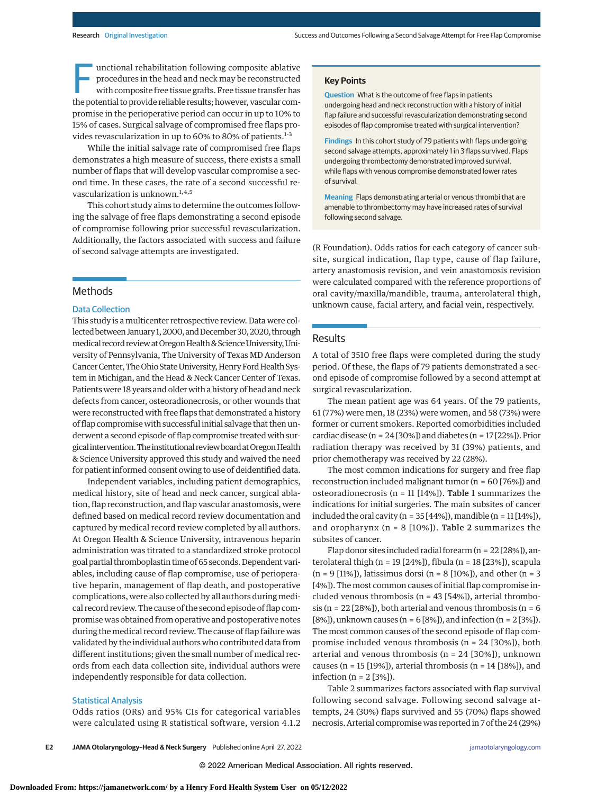unctional rehabilitation following composite ablative<br>procedures in the head and neck may be reconstructed<br>with composite free tissue grafts. Free tissue transfer has<br>the potential to provide reliable results; bowever, yos procedures in the head and neck may be reconstructed the potential to provide reliable results; however, vascular compromise in the perioperative period can occur in up to 10% to 15% of cases. Surgical salvage of compromised free flaps provides revascularization in up to 60% to 80% of patients.<sup>1-3</sup>

While the initial salvage rate of compromised free flaps demonstrates a high measure of success, there exists a small number of flaps that will develop vascular compromise a second time. In these cases, the rate of a second successful revascularization is unknown. $1,4,5$ 

This cohort study aims to determine the outcomes following the salvage of free flaps demonstrating a second episode of compromise following prior successful revascularization. Additionally, the factors associated with success and failure of second salvage attempts are investigated.

### Methods

#### Data Collection

This study is a multicenter retrospective review. Data were collected between January 1, 2000, and December 30, 2020, through medical record review at Oregon Health & Science University, University of Pennsylvania, The University of Texas MD Anderson Cancer Center, The Ohio State University, Henry Ford Health System in Michigan, and the Head & Neck Cancer Center of Texas. Patients were 18 years and older with a history of head and neck defects from cancer, osteoradionecrosis, or other wounds that were reconstructed with free flaps that demonstrated a history of flap compromise with successful initial salvage that then underwent a second episode of flap compromise treated with surgical intervention. The institutional review board at Oregon Health & Science University approved this study and waived the need for patient informed consent owing to use of deidentified data.

Independent variables, including patient demographics, medical history, site of head and neck cancer, surgical ablation, flap reconstruction, and flap vascular anastomosis, were defined based on medical record review documentation and captured by medical record review completed by all authors. At Oregon Health & Science University, intravenous heparin administration was titrated to a standardized stroke protocol goal partial thromboplastin time of 65 seconds. Dependent variables, including cause of flap compromise, use of perioperative heparin, management of flap death, and postoperative complications, were also collected by all authors during medical record review. The cause of the second episode of flap compromise was obtained from operative and postoperative notes during the medical record review. The cause of flap failure was validated by the individual authors who contributed data from different institutions; given the small number of medical records from each data collection site, individual authors were independently responsible for data collection.

#### Statistical Analysis

Odds ratios (ORs) and 95% CIs for categorical variables were calculated using R statistical software, version 4.1.2

#### **Key Points**

**Question** What is the outcome of free flaps in patients undergoing head and neck reconstruction with a history of initial flap failure and successful revascularization demonstrating second episodes of flap compromise treated with surgical intervention?

**Findings** In this cohort study of 79 patients with flaps undergoing second salvage attempts, approximately 1 in 3 flaps survived. Flaps undergoing thrombectomy demonstrated improved survival, while flaps with venous compromise demonstrated lower rates of survival.

**Meaning** Flaps demonstrating arterial or venous thrombi that are amenable to thrombectomy may have increased rates of survival following second salvage.

(R Foundation). Odds ratios for each category of cancer subsite, surgical indication, flap type, cause of flap failure, artery anastomosis revision, and vein anastomosis revision were calculated compared with the reference proportions of oral cavity/maxilla/mandible, trauma, anterolateral thigh, unknown cause, facial artery, and facial vein, respectively.

#### Results

A total of 3510 free flaps were completed during the study period. Of these, the flaps of 79 patients demonstrated a second episode of compromise followed by a second attempt at surgical revascularization.

The mean patient age was 64 years. Of the 79 patients, 61 (77%) were men, 18 (23%) were women, and 58 (73%) were former or current smokers. Reported comorbidities included cardiac disease (n =  $24$  [30%]) and diabetes (n =  $17$  [22%]). Prior radiation therapy was received by 31 (39%) patients, and prior chemotherapy was received by 22 (28%).

The most common indications for surgery and free flap reconstruction included malignant tumor (n = 60 [76%]) and osteoradionecrosis (n = 11 [14%]). Table 1 summarizes the indications for initial surgeries. The main subsites of cancer included the oral cavity (n =  $35[44\%]$ ), mandible (n =  $11[14\%]$ ), and oropharynx ( $n = 8$  [10%]). Table 2 summarizes the subsites of cancer.

Flap donor sites included radial forearm (n = 22 [28%]), anterolateral thigh (n = 19 [24%]), fibula (n = 18 [23%]), scapula (n = 9 [11%]), latissimus dorsi (n = 8 [10%]), and other (n = 3 [4%]). The most common causes of initial flap compromise included venous thrombosis ( $n = 43$  [54%]), arterial thrombosis (n =  $22$  [28%]), both arterial and venous thrombosis (n =  $6$ [8%]), unknown causes ( $n = 6$ [8%]), and infection ( $n = 2$ [3%]). The most common causes of the second episode of flap compromise included venous thrombosis (n = 24 [30%]), both arterial and venous thrombosis (n = 24 [30%]), unknown causes (n = 15 [19%]), arterial thrombosis (n = 14 [18%]), and infection (n = 2 [3%]).

Table 2 summarizes factors associated with flap survival following second salvage. Following second salvage attempts, 24 (30%) flaps survived and 55 (70%) flaps showed necrosis. Arterial compromise was reported in 7 of the 24 (29%)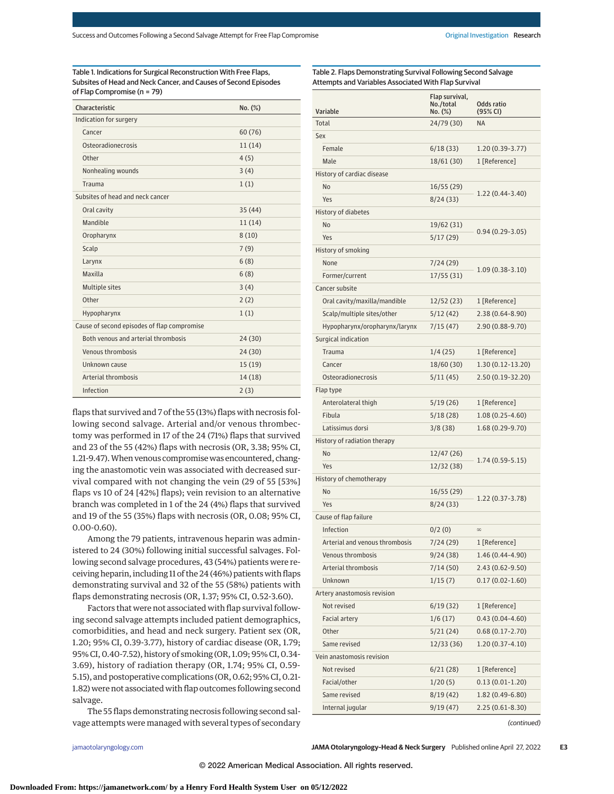Table 1. Indications for Surgical Reconstruction With Free Flaps, Subsites of Head and Neck Cancer, and Causes of Second Episodes of Flap Compromise (n = 79)

| Characteristic                              | No. (%) |
|---------------------------------------------|---------|
| Indication for surgery                      |         |
| Cancer                                      | 60(76)  |
| Osteoradionecrosis                          | 11(14)  |
| Other                                       | 4(5)    |
| Nonhealing wounds                           | 3(4)    |
| Trauma                                      | 1(1)    |
| Subsites of head and neck cancer            |         |
| Oral cavity                                 | 35(44)  |
| Mandible                                    | 11(14)  |
| Oropharynx                                  | 8(10)   |
| Scalp                                       | 7(9)    |
| Larynx                                      | 6(8)    |
| Maxilla                                     | 6(8)    |
| Multiple sites                              | 3(4)    |
| Other                                       | 2(2)    |
| Hypopharynx                                 | 1(1)    |
| Cause of second episodes of flap compromise |         |
| Both venous and arterial thrombosis         | 24(30)  |
| Venous thrombosis                           | 24(30)  |
| Unknown cause                               | 15(19)  |
| Arterial thrombosis                         | 14(18)  |
| Infection                                   | 2(3)    |

flaps that survived and 7 of the 55 (13%) flaps with necrosis following second salvage. Arterial and/or venous thrombectomy was performed in 17 of the 24 (71%) flaps that survived and 23 of the 55 (42%) flaps with necrosis (OR, 3.38; 95% CI, 1.21-9.47).When venous compromise was encountered, changing the anastomotic vein was associated with decreased survival compared with not changing the vein (29 of 55 [53%] flaps vs 10 of 24 [42%] flaps); vein revision to an alternative branch was completed in 1 of the 24 (4%) flaps that survived and 19 of the 55 (35%) flaps with necrosis (OR, 0.08; 95% CI, 0.00-0.60).

Among the 79 patients, intravenous heparin was administered to 24 (30%) following initial successful salvages. Following second salvage procedures, 43 (54%) patients were receiving heparin, including 11 of the 24 (46%) patients with flaps demonstrating survival and 32 of the 55 (58%) patients with flaps demonstrating necrosis (OR, 1.37; 95% CI, 0.52-3.60).

Factors that were not associated with flap survival following second salvage attempts included patient demographics, comorbidities, and head and neck surgery. Patient sex (OR, 1.20; 95% CI, 0.39-3.77), history of cardiac disease (OR, 1.79; 95% CI, 0.40-7.52), history of smoking (OR, 1.09; 95% CI, 0.34- 3.69), history of radiation therapy (OR, 1.74; 95% CI, 0.59- 5.15), and postoperative complications (OR, 0.62; 95% CI, 0.21- 1.82) were not associated with flap outcomes following second salvage.

The 55 flaps demonstrating necrosis following second salvage attempts were managed with several types of secondary

Table 2. Flaps Demonstrating Survival Following Second Salvage Attempts and Variables Associated With Flap Survival

| Total<br>24/79 (30)<br><b>NA</b><br>Sex<br>Female<br>6/18(33)<br>$1.20(0.39-3.77)$<br>Male<br>18/61 (30)<br>1 [Reference]<br>History of cardiac disease<br>No<br>16/55(29)<br>1.22 (0.44-3.40)<br>Yes<br>8/24(33)<br>History of diabetes<br>No<br>19/62 (31)<br>$0.94(0.29-3.05)$<br>Yes<br>5/17(29)<br>History of smoking<br>None<br>7/24 (29)<br>$1.09(0.38-3.10)$<br>17/55(31)<br>Former/current<br>Cancer subsite<br>Oral cavity/maxilla/mandible<br>12/52(23)<br>1 [Reference]<br>Scalp/multiple sites/other<br>5/12(42)<br>$2.38(0.64 - 8.90)$<br>Hypopharynx/oropharynx/larynx<br>7/15 (47)<br>$2.90(0.88-9.70)$<br>Surgical indication<br>Trauma<br>1/4(25)<br>1 [Reference]<br>1.30 (0.12-13.20)<br>Cancer<br>18/60 (30)<br>Osteoradionecrosis<br>5/11(45)<br>2.50 (0.19-32.20)<br>Flap type<br>Anterolateral thigh<br>5/19(26)<br>1 [Reference]<br>Fibula<br>$1.08(0.25 - 4.60)$<br>5/18(28)<br>Latissimus dorsi<br>1.68 (0.29-9.70)<br>3/8(38)<br>History of radiation therapy<br><b>No</b><br>12/47 (26)<br>$1.74(0.59-5.15)$<br>Yes<br>12/32 (38)<br>History of chemotherapy<br>No<br>16/55(29)<br>1.22 (0.37-3.78)<br>Yes<br>8/24 (33)<br>Cause of flap failure<br>Infection<br>0/2(0)<br>$\infty$<br>Arterial and venous thrombosis<br>7/24 (29)<br>1 [Reference]<br>Venous thrombosis<br>9/24(38)<br>1.46 (0.44-4.90)<br>7/14(50)<br>$2.43(0.62 - 9.50)$<br>Arterial thrombosis<br><b>Unknown</b><br>1/15(7)<br>$0.17(0.02 - 1.60)$<br>Artery anastomosis revision<br>Not revised<br>1 [Reference]<br>6/19 (32)<br>$0.43(0.04 - 4.60)$<br>1/6(17)<br>Facial artery<br>Other<br>5/21(24)<br>$0.68(0.17 - 2.70)$<br>Same revised<br>$1.20(0.37-4.10)$<br>12/33(36)<br>Vein anastomosis revision<br>Not revised<br>6/21(28)<br>1 [Reference]<br>Facial/other<br>1/20(5)<br>$0.13(0.01-1.20)$<br>Same revised<br>8/19(42)<br>1.82 (0.49-6.80)<br>Internal jugular<br>$2.25(0.61-8.30)$<br>9/19 (47) | Variable | Flap survival,<br>No./total<br>No. (%) | Odds ratio<br>(95% CI) |
|-----------------------------------------------------------------------------------------------------------------------------------------------------------------------------------------------------------------------------------------------------------------------------------------------------------------------------------------------------------------------------------------------------------------------------------------------------------------------------------------------------------------------------------------------------------------------------------------------------------------------------------------------------------------------------------------------------------------------------------------------------------------------------------------------------------------------------------------------------------------------------------------------------------------------------------------------------------------------------------------------------------------------------------------------------------------------------------------------------------------------------------------------------------------------------------------------------------------------------------------------------------------------------------------------------------------------------------------------------------------------------------------------------------------------------------------------------------------------------------------------------------------------------------------------------------------------------------------------------------------------------------------------------------------------------------------------------------------------------------------------------------------------------------------------------------------------------------------------------------------------------------------------------------------|----------|----------------------------------------|------------------------|
|                                                                                                                                                                                                                                                                                                                                                                                                                                                                                                                                                                                                                                                                                                                                                                                                                                                                                                                                                                                                                                                                                                                                                                                                                                                                                                                                                                                                                                                                                                                                                                                                                                                                                                                                                                                                                                                                                                                 |          |                                        |                        |
|                                                                                                                                                                                                                                                                                                                                                                                                                                                                                                                                                                                                                                                                                                                                                                                                                                                                                                                                                                                                                                                                                                                                                                                                                                                                                                                                                                                                                                                                                                                                                                                                                                                                                                                                                                                                                                                                                                                 |          |                                        |                        |
|                                                                                                                                                                                                                                                                                                                                                                                                                                                                                                                                                                                                                                                                                                                                                                                                                                                                                                                                                                                                                                                                                                                                                                                                                                                                                                                                                                                                                                                                                                                                                                                                                                                                                                                                                                                                                                                                                                                 |          |                                        |                        |
|                                                                                                                                                                                                                                                                                                                                                                                                                                                                                                                                                                                                                                                                                                                                                                                                                                                                                                                                                                                                                                                                                                                                                                                                                                                                                                                                                                                                                                                                                                                                                                                                                                                                                                                                                                                                                                                                                                                 |          |                                        |                        |
|                                                                                                                                                                                                                                                                                                                                                                                                                                                                                                                                                                                                                                                                                                                                                                                                                                                                                                                                                                                                                                                                                                                                                                                                                                                                                                                                                                                                                                                                                                                                                                                                                                                                                                                                                                                                                                                                                                                 |          |                                        |                        |
|                                                                                                                                                                                                                                                                                                                                                                                                                                                                                                                                                                                                                                                                                                                                                                                                                                                                                                                                                                                                                                                                                                                                                                                                                                                                                                                                                                                                                                                                                                                                                                                                                                                                                                                                                                                                                                                                                                                 |          |                                        |                        |
|                                                                                                                                                                                                                                                                                                                                                                                                                                                                                                                                                                                                                                                                                                                                                                                                                                                                                                                                                                                                                                                                                                                                                                                                                                                                                                                                                                                                                                                                                                                                                                                                                                                                                                                                                                                                                                                                                                                 |          |                                        |                        |
|                                                                                                                                                                                                                                                                                                                                                                                                                                                                                                                                                                                                                                                                                                                                                                                                                                                                                                                                                                                                                                                                                                                                                                                                                                                                                                                                                                                                                                                                                                                                                                                                                                                                                                                                                                                                                                                                                                                 |          |                                        |                        |
|                                                                                                                                                                                                                                                                                                                                                                                                                                                                                                                                                                                                                                                                                                                                                                                                                                                                                                                                                                                                                                                                                                                                                                                                                                                                                                                                                                                                                                                                                                                                                                                                                                                                                                                                                                                                                                                                                                                 |          |                                        |                        |
|                                                                                                                                                                                                                                                                                                                                                                                                                                                                                                                                                                                                                                                                                                                                                                                                                                                                                                                                                                                                                                                                                                                                                                                                                                                                                                                                                                                                                                                                                                                                                                                                                                                                                                                                                                                                                                                                                                                 |          |                                        |                        |
|                                                                                                                                                                                                                                                                                                                                                                                                                                                                                                                                                                                                                                                                                                                                                                                                                                                                                                                                                                                                                                                                                                                                                                                                                                                                                                                                                                                                                                                                                                                                                                                                                                                                                                                                                                                                                                                                                                                 |          |                                        |                        |
|                                                                                                                                                                                                                                                                                                                                                                                                                                                                                                                                                                                                                                                                                                                                                                                                                                                                                                                                                                                                                                                                                                                                                                                                                                                                                                                                                                                                                                                                                                                                                                                                                                                                                                                                                                                                                                                                                                                 |          |                                        |                        |
|                                                                                                                                                                                                                                                                                                                                                                                                                                                                                                                                                                                                                                                                                                                                                                                                                                                                                                                                                                                                                                                                                                                                                                                                                                                                                                                                                                                                                                                                                                                                                                                                                                                                                                                                                                                                                                                                                                                 |          |                                        |                        |
|                                                                                                                                                                                                                                                                                                                                                                                                                                                                                                                                                                                                                                                                                                                                                                                                                                                                                                                                                                                                                                                                                                                                                                                                                                                                                                                                                                                                                                                                                                                                                                                                                                                                                                                                                                                                                                                                                                                 |          |                                        |                        |
|                                                                                                                                                                                                                                                                                                                                                                                                                                                                                                                                                                                                                                                                                                                                                                                                                                                                                                                                                                                                                                                                                                                                                                                                                                                                                                                                                                                                                                                                                                                                                                                                                                                                                                                                                                                                                                                                                                                 |          |                                        |                        |
|                                                                                                                                                                                                                                                                                                                                                                                                                                                                                                                                                                                                                                                                                                                                                                                                                                                                                                                                                                                                                                                                                                                                                                                                                                                                                                                                                                                                                                                                                                                                                                                                                                                                                                                                                                                                                                                                                                                 |          |                                        |                        |
|                                                                                                                                                                                                                                                                                                                                                                                                                                                                                                                                                                                                                                                                                                                                                                                                                                                                                                                                                                                                                                                                                                                                                                                                                                                                                                                                                                                                                                                                                                                                                                                                                                                                                                                                                                                                                                                                                                                 |          |                                        |                        |
|                                                                                                                                                                                                                                                                                                                                                                                                                                                                                                                                                                                                                                                                                                                                                                                                                                                                                                                                                                                                                                                                                                                                                                                                                                                                                                                                                                                                                                                                                                                                                                                                                                                                                                                                                                                                                                                                                                                 |          |                                        |                        |
|                                                                                                                                                                                                                                                                                                                                                                                                                                                                                                                                                                                                                                                                                                                                                                                                                                                                                                                                                                                                                                                                                                                                                                                                                                                                                                                                                                                                                                                                                                                                                                                                                                                                                                                                                                                                                                                                                                                 |          |                                        |                        |
|                                                                                                                                                                                                                                                                                                                                                                                                                                                                                                                                                                                                                                                                                                                                                                                                                                                                                                                                                                                                                                                                                                                                                                                                                                                                                                                                                                                                                                                                                                                                                                                                                                                                                                                                                                                                                                                                                                                 |          |                                        |                        |
|                                                                                                                                                                                                                                                                                                                                                                                                                                                                                                                                                                                                                                                                                                                                                                                                                                                                                                                                                                                                                                                                                                                                                                                                                                                                                                                                                                                                                                                                                                                                                                                                                                                                                                                                                                                                                                                                                                                 |          |                                        |                        |
|                                                                                                                                                                                                                                                                                                                                                                                                                                                                                                                                                                                                                                                                                                                                                                                                                                                                                                                                                                                                                                                                                                                                                                                                                                                                                                                                                                                                                                                                                                                                                                                                                                                                                                                                                                                                                                                                                                                 |          |                                        |                        |
|                                                                                                                                                                                                                                                                                                                                                                                                                                                                                                                                                                                                                                                                                                                                                                                                                                                                                                                                                                                                                                                                                                                                                                                                                                                                                                                                                                                                                                                                                                                                                                                                                                                                                                                                                                                                                                                                                                                 |          |                                        |                        |
|                                                                                                                                                                                                                                                                                                                                                                                                                                                                                                                                                                                                                                                                                                                                                                                                                                                                                                                                                                                                                                                                                                                                                                                                                                                                                                                                                                                                                                                                                                                                                                                                                                                                                                                                                                                                                                                                                                                 |          |                                        |                        |
|                                                                                                                                                                                                                                                                                                                                                                                                                                                                                                                                                                                                                                                                                                                                                                                                                                                                                                                                                                                                                                                                                                                                                                                                                                                                                                                                                                                                                                                                                                                                                                                                                                                                                                                                                                                                                                                                                                                 |          |                                        |                        |
|                                                                                                                                                                                                                                                                                                                                                                                                                                                                                                                                                                                                                                                                                                                                                                                                                                                                                                                                                                                                                                                                                                                                                                                                                                                                                                                                                                                                                                                                                                                                                                                                                                                                                                                                                                                                                                                                                                                 |          |                                        |                        |
|                                                                                                                                                                                                                                                                                                                                                                                                                                                                                                                                                                                                                                                                                                                                                                                                                                                                                                                                                                                                                                                                                                                                                                                                                                                                                                                                                                                                                                                                                                                                                                                                                                                                                                                                                                                                                                                                                                                 |          |                                        |                        |
|                                                                                                                                                                                                                                                                                                                                                                                                                                                                                                                                                                                                                                                                                                                                                                                                                                                                                                                                                                                                                                                                                                                                                                                                                                                                                                                                                                                                                                                                                                                                                                                                                                                                                                                                                                                                                                                                                                                 |          |                                        |                        |
|                                                                                                                                                                                                                                                                                                                                                                                                                                                                                                                                                                                                                                                                                                                                                                                                                                                                                                                                                                                                                                                                                                                                                                                                                                                                                                                                                                                                                                                                                                                                                                                                                                                                                                                                                                                                                                                                                                                 |          |                                        |                        |
|                                                                                                                                                                                                                                                                                                                                                                                                                                                                                                                                                                                                                                                                                                                                                                                                                                                                                                                                                                                                                                                                                                                                                                                                                                                                                                                                                                                                                                                                                                                                                                                                                                                                                                                                                                                                                                                                                                                 |          |                                        |                        |
|                                                                                                                                                                                                                                                                                                                                                                                                                                                                                                                                                                                                                                                                                                                                                                                                                                                                                                                                                                                                                                                                                                                                                                                                                                                                                                                                                                                                                                                                                                                                                                                                                                                                                                                                                                                                                                                                                                                 |          |                                        |                        |
|                                                                                                                                                                                                                                                                                                                                                                                                                                                                                                                                                                                                                                                                                                                                                                                                                                                                                                                                                                                                                                                                                                                                                                                                                                                                                                                                                                                                                                                                                                                                                                                                                                                                                                                                                                                                                                                                                                                 |          |                                        |                        |
|                                                                                                                                                                                                                                                                                                                                                                                                                                                                                                                                                                                                                                                                                                                                                                                                                                                                                                                                                                                                                                                                                                                                                                                                                                                                                                                                                                                                                                                                                                                                                                                                                                                                                                                                                                                                                                                                                                                 |          |                                        |                        |
|                                                                                                                                                                                                                                                                                                                                                                                                                                                                                                                                                                                                                                                                                                                                                                                                                                                                                                                                                                                                                                                                                                                                                                                                                                                                                                                                                                                                                                                                                                                                                                                                                                                                                                                                                                                                                                                                                                                 |          |                                        |                        |
|                                                                                                                                                                                                                                                                                                                                                                                                                                                                                                                                                                                                                                                                                                                                                                                                                                                                                                                                                                                                                                                                                                                                                                                                                                                                                                                                                                                                                                                                                                                                                                                                                                                                                                                                                                                                                                                                                                                 |          |                                        |                        |
|                                                                                                                                                                                                                                                                                                                                                                                                                                                                                                                                                                                                                                                                                                                                                                                                                                                                                                                                                                                                                                                                                                                                                                                                                                                                                                                                                                                                                                                                                                                                                                                                                                                                                                                                                                                                                                                                                                                 |          |                                        |                        |
|                                                                                                                                                                                                                                                                                                                                                                                                                                                                                                                                                                                                                                                                                                                                                                                                                                                                                                                                                                                                                                                                                                                                                                                                                                                                                                                                                                                                                                                                                                                                                                                                                                                                                                                                                                                                                                                                                                                 |          |                                        |                        |
|                                                                                                                                                                                                                                                                                                                                                                                                                                                                                                                                                                                                                                                                                                                                                                                                                                                                                                                                                                                                                                                                                                                                                                                                                                                                                                                                                                                                                                                                                                                                                                                                                                                                                                                                                                                                                                                                                                                 |          |                                        |                        |
|                                                                                                                                                                                                                                                                                                                                                                                                                                                                                                                                                                                                                                                                                                                                                                                                                                                                                                                                                                                                                                                                                                                                                                                                                                                                                                                                                                                                                                                                                                                                                                                                                                                                                                                                                                                                                                                                                                                 |          |                                        |                        |
|                                                                                                                                                                                                                                                                                                                                                                                                                                                                                                                                                                                                                                                                                                                                                                                                                                                                                                                                                                                                                                                                                                                                                                                                                                                                                                                                                                                                                                                                                                                                                                                                                                                                                                                                                                                                                                                                                                                 |          |                                        |                        |
|                                                                                                                                                                                                                                                                                                                                                                                                                                                                                                                                                                                                                                                                                                                                                                                                                                                                                                                                                                                                                                                                                                                                                                                                                                                                                                                                                                                                                                                                                                                                                                                                                                                                                                                                                                                                                                                                                                                 |          |                                        |                        |
|                                                                                                                                                                                                                                                                                                                                                                                                                                                                                                                                                                                                                                                                                                                                                                                                                                                                                                                                                                                                                                                                                                                                                                                                                                                                                                                                                                                                                                                                                                                                                                                                                                                                                                                                                                                                                                                                                                                 |          |                                        |                        |
|                                                                                                                                                                                                                                                                                                                                                                                                                                                                                                                                                                                                                                                                                                                                                                                                                                                                                                                                                                                                                                                                                                                                                                                                                                                                                                                                                                                                                                                                                                                                                                                                                                                                                                                                                                                                                                                                                                                 |          |                                        |                        |
|                                                                                                                                                                                                                                                                                                                                                                                                                                                                                                                                                                                                                                                                                                                                                                                                                                                                                                                                                                                                                                                                                                                                                                                                                                                                                                                                                                                                                                                                                                                                                                                                                                                                                                                                                                                                                                                                                                                 |          |                                        |                        |
|                                                                                                                                                                                                                                                                                                                                                                                                                                                                                                                                                                                                                                                                                                                                                                                                                                                                                                                                                                                                                                                                                                                                                                                                                                                                                                                                                                                                                                                                                                                                                                                                                                                                                                                                                                                                                                                                                                                 |          |                                        |                        |
|                                                                                                                                                                                                                                                                                                                                                                                                                                                                                                                                                                                                                                                                                                                                                                                                                                                                                                                                                                                                                                                                                                                                                                                                                                                                                                                                                                                                                                                                                                                                                                                                                                                                                                                                                                                                                                                                                                                 |          |                                        |                        |
|                                                                                                                                                                                                                                                                                                                                                                                                                                                                                                                                                                                                                                                                                                                                                                                                                                                                                                                                                                                                                                                                                                                                                                                                                                                                                                                                                                                                                                                                                                                                                                                                                                                                                                                                                                                                                                                                                                                 |          |                                        |                        |

(continued)

[jamaotolaryngology.com](http://www.jamaotolaryngology.com?utm_campaign=articlePDF%26utm_medium=articlePDFlink%26utm_source=articlePDF%26utm_content=jamaoto.2022.0793) **(Reprinted) JAMA Otolaryngology–Head & Neck Surgery** Published online April 27, 2022 **E3**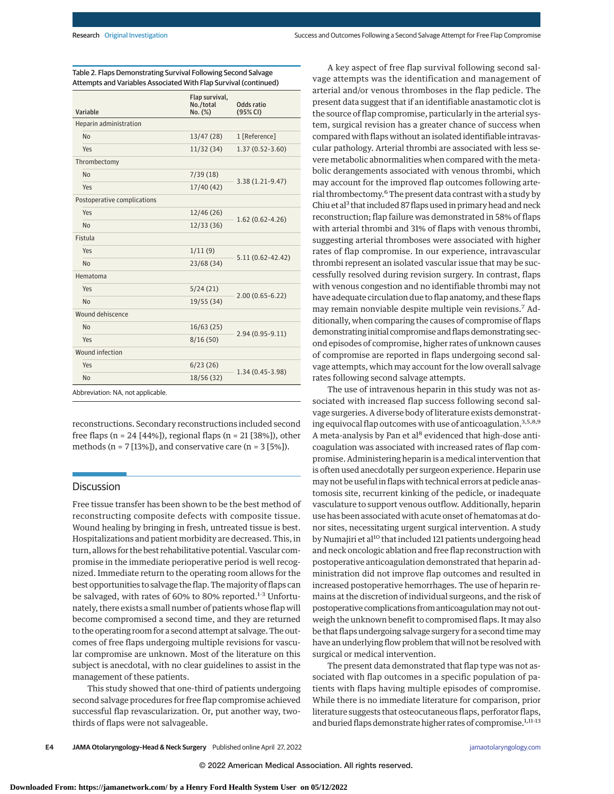| Variable                          | Flap survival,<br>No./total<br>No. (%) | Odds ratio<br>(95% CI) |
|-----------------------------------|----------------------------------------|------------------------|
| Heparin administration            |                                        |                        |
| N <sub>o</sub>                    | 13/47 (28)                             | 1 [Reference]          |
| Yes                               | 11/32(34)                              | $1.37(0.52 - 3.60)$    |
| Thrombectomy                      |                                        |                        |
| <b>No</b>                         | 7/39(18)                               | $3.38(1.21-9.47)$      |
| Yes                               | 17/40(42)                              |                        |
| Postoperative complications       |                                        |                        |
| Yes                               | 12/46(26)                              | $1.62(0.62 - 4.26)$    |
| <b>No</b>                         | 12/33(36)                              |                        |
| Fistula                           |                                        |                        |
| Yes                               | 1/11(9)                                | $5.11(0.62 - 42.42)$   |
| <b>No</b>                         | 23/68 (34)                             |                        |
| Hematoma                          |                                        |                        |
| Yes                               | 5/24(21)                               |                        |
| <b>No</b>                         | 19/55 (34)                             | $2.00(0.65 - 6.22)$    |
| Wound dehiscence                  |                                        |                        |
| <b>No</b>                         | 16/63(25)                              | $2.94(0.95-9.11)$      |
| Yes                               | 8/16(50)                               |                        |
| Wound infection                   |                                        |                        |
| Yes                               | 6/23(26)                               | $1.34(0.45-3.98)$      |
| <b>No</b>                         | 18/56 (32)                             |                        |
| Abbreviation: NA, not applicable. |                                        |                        |

Table 2. Flaps Demonstrating Survival Following Second Salvage Attempts and Variables Associated With Flap Survival (continued)

reconstructions. Secondary reconstructions included second free flaps (n = 24 [44%]), regional flaps (n = 21 [38%]), other methods ( $n = 7$  [13%]), and conservative care ( $n = 3$  [5%]).

#### Discussion

Free tissue transfer has been shown to be the best method of reconstructing composite defects with composite tissue. Wound healing by bringing in fresh, untreated tissue is best. Hospitalizations and patient morbidity are decreased. This, in turn, allows for the best rehabilitative potential. Vascular compromise in the immediate perioperative period is well recognized. Immediate return to the operating room allows for the best opportunities to salvage the flap. Themajority of flaps can be salvaged, with rates of 60% to 80% reported.<sup>1-3</sup> Unfortunately, there exists a small number of patients whose flap will become compromised a second time, and they are returned to the operating room for a second attempt at salvage. The outcomes of free flaps undergoing multiple revisions for vascular compromise are unknown. Most of the literature on this subject is anecdotal, with no clear guidelines to assist in the management of these patients.

This study showed that one-third of patients undergoing second salvage procedures for free flap compromise achieved successful flap revascularization. Or, put another way, twothirds of flaps were not salvageable.

A key aspect of free flap survival following second salvage attempts was the identification and management of arterial and/or venous thromboses in the flap pedicle. The present data suggest that if an identifiable anastamotic clot is the source of flap compromise, particularly in the arterial system, surgical revision has a greater chance of success when compared with flaps without an isolated identifiable intravascular pathology. Arterial thrombi are associated with less severe metabolic abnormalities when compared with the metabolic derangements associated with venous thrombi, which may account for the improved flap outcomes following arterial thrombectomy.<sup>6</sup> The present data contrast with a study by Chiu et al<sup>3</sup> that included 87 flaps used in primary head and neck reconstruction; flap failure was demonstrated in 58% of flaps with arterial thrombi and 31% of flaps with venous thrombi, suggesting arterial thromboses were associated with higher rates of flap compromise. In our experience, intravascular thrombi represent an isolated vascular issue that may be successfully resolved during revision surgery. In contrast, flaps with venous congestion and no identifiable thrombi may not have adequate circulation due to flap anatomy, and these flaps may remain nonviable despite multiple vein revisions.<sup>7</sup> Additionally, when comparing the causes of compromise of flaps demonstrating initial compromise and flaps demonstrating second episodes of compromise, higher rates of unknown causes of compromise are reported in flaps undergoing second salvage attempts, which may account for the low overall salvage rates following second salvage attempts.

The use of intravenous heparin in this study was not associated with increased flap success following second salvage surgeries. A diverse body of literature exists demonstrating equivocal flap outcomes with use of anticoagulation.<sup>3,5,8,9</sup> A meta-analysis by Pan et al<sup>8</sup> evidenced that high-dose anticoagulation was associated with increased rates of flap compromise. Administering heparin is a medical intervention that is often used anecdotally per surgeon experience. Heparin use may not be useful in flaps with technical errors at pedicle anastomosis site, recurrent kinking of the pedicle, or inadequate vasculature to support venous outflow. Additionally, heparin use has been associated with acute onset of hematomas at donor sites, necessitating urgent surgical intervention. A study by Numajiri et al<sup>10</sup> that included 121 patients undergoing head and neck oncologic ablation and free flap reconstruction with postoperative anticoagulation demonstrated that heparin administration did not improve flap outcomes and resulted in increased postoperative hemorrhages. The use of heparin remains at the discretion of individual surgeons, and the risk of postoperative complications from anticoagulation may not outweigh the unknown benefit to compromised flaps. It may also be that flaps undergoing salvage surgery for a second timemay have an underlying flow problem that will not be resolved with surgical or medical intervention.

The present data demonstrated that flap type was not associated with flap outcomes in a specific population of patients with flaps having multiple episodes of compromise. While there is no immediate literature for comparison, prior literature suggests that osteocutaneous flaps, perforator flaps, and buried flaps demonstrate higher rates of compromise.<sup>1,11-13</sup>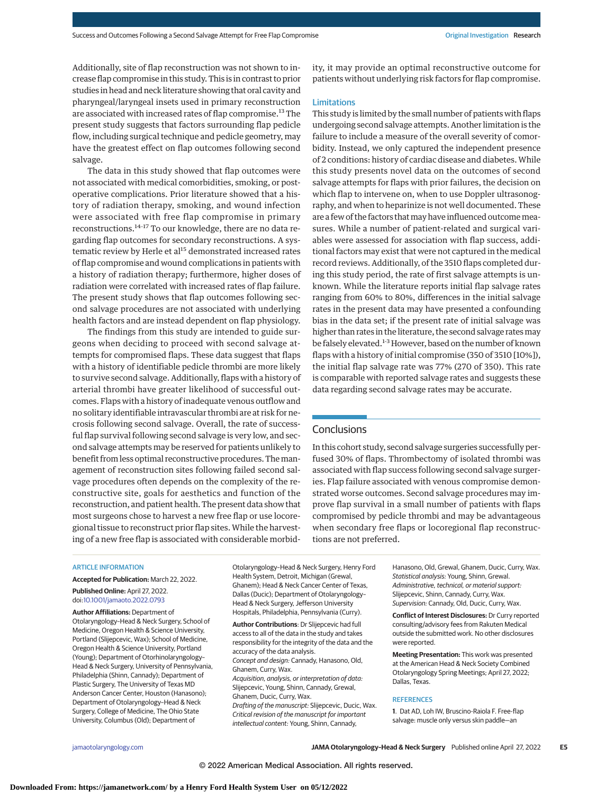Additionally, site of flap reconstruction was not shown to increase flap compromise in this study. This is in contrast to prior studies in head and neck literature showing that oral cavity and pharyngeal/laryngeal insets used in primary reconstruction are associated with increased rates of flap compromise.<sup>13</sup> The present study suggests that factors surrounding flap pedicle flow, including surgical technique and pedicle geometry, may have the greatest effect on flap outcomes following second salvage.

The data in this study showed that flap outcomes were not associated with medical comorbidities, smoking, or postoperative complications. Prior literature showed that a history of radiation therapy, smoking, and wound infection were associated with free flap compromise in primary reconstructions.14-17 To our knowledge, there are no data regarding flap outcomes for secondary reconstructions. A systematic review by Herle et al<sup>15</sup> demonstrated increased rates of flap compromise and wound complications in patients with a history of radiation therapy; furthermore, higher doses of radiation were correlated with increased rates of flap failure. The present study shows that flap outcomes following second salvage procedures are not associated with underlying health factors and are instead dependent on flap physiology.

The findings from this study are intended to guide surgeons when deciding to proceed with second salvage attempts for compromised flaps. These data suggest that flaps with a history of identifiable pedicle thrombi are more likely to survive second salvage. Additionally, flaps with a history of arterial thrombi have greater likelihood of successful outcomes. Flaps with a history of inadequate venous outflow and no solitary identifiable intravascular thrombi are at risk for necrosis following second salvage. Overall, the rate of successful flap survival following second salvage is very low, and second salvage attempts may be reserved for patients unlikely to benefit from less optimal reconstructive procedures. Themanagement of reconstruction sites following failed second salvage procedures often depends on the complexity of the reconstructive site, goals for aesthetics and function of the reconstruction, and patient health. The present data show that most surgeons chose to harvest a new free flap or use locoregional tissue to reconstruct prior flap sites. While the harvesting of a new free flap is associated with considerable morbidity, it may provide an optimal reconstructive outcome for patients without underlying risk factors for flap compromise.

#### Limitations

This study is limited by the small number of patients with flaps undergoing second salvage attempts. Another limitation is the failure to include a measure of the overall severity of comorbidity. Instead, we only captured the independent presence of 2 conditions: history of cardiac disease and diabetes. While this study presents novel data on the outcomes of second salvage attempts for flaps with prior failures, the decision on which flap to intervene on, when to use Doppler ultrasonography, and when to heparinize is not well documented. These are a few of the factors that may have influenced outcome measures. While a number of patient-related and surgical variables were assessed for association with flap success, additional factors may exist that were not captured in the medical record reviews. Additionally, of the 3510 flaps completed during this study period, the rate of first salvage attempts is unknown. While the literature reports initial flap salvage rates ranging from 60% to 80%, differences in the initial salvage rates in the present data may have presented a confounding bias in the data set; if the present rate of initial salvage was higher than rates in the literature, the second salvage rates may be falsely elevated.<sup>1-3</sup> However, based on the number of known flaps with a history of initial compromise (350 of 3510 [10%]), the initial flap salvage rate was 77% (270 of 350). This rate is comparable with reported salvage rates and suggests these data regarding second salvage rates may be accurate.

## **Conclusions**

In this cohort study, second salvage surgeries successfully perfused 30% of flaps. Thrombectomy of isolated thrombi was associated with flap success following second salvage surgeries. Flap failure associated with venous compromise demonstrated worse outcomes. Second salvage procedures may improve flap survival in a small number of patients with flaps compromised by pedicle thrombi and may be advantageous when secondary free flaps or locoregional flap reconstructions are not preferred.

#### **ARTICLE INFORMATION**

**Accepted for Publication:** March 22, 2022. **Published Online:** April 27, 2022.

doi[:10.1001/jamaoto.2022.0793](https://jamanetwork.com/journals/jama/fullarticle/10.1001/jamaoto.2022.0793?utm_campaign=articlePDF%26utm_medium=articlePDFlink%26utm_source=articlePDF%26utm_content=jamaoto.2022.0793)

**Author Affiliations:** Department of Otolaryngology–Head & Neck Surgery, School of Medicine, Oregon Health & Science University, Portland (Slijepcevic, Wax); School of Medicine, Oregon Health & Science University, Portland (Young); Department of Otorhinolaryngology– Head & Neck Surgery, University of Pennsylvania, Philadelphia (Shinn, Cannady); Department of Plastic Surgery, The University of Texas MD Anderson Cancer Center, Houston (Hanasono); Department of Otolaryngology–Head & Neck Surgery, College of Medicine, The Ohio State University, Columbus (Old); Department of

Otolaryngology–Head & Neck Surgery, Henry Ford Health System, Detroit, Michigan (Grewal, Ghanem); Head & Neck Cancer Center of Texas, Dallas (Ducic); Department of Otolaryngology– Head & Neck Surgery, Jefferson University Hospitals, Philadelphia, Pennsylvania (Curry).

**Author Contributions**: Dr Slijepcevic had full access to all of the data in the study and takes responsibility for the integrity of the data and the accuracy of the data analysis. Concept and design: Cannady, Hanasono, Old, Ghanem, Curry, Wax. Acquisition, analysis, or interpretation of data: Slijepcevic, Young, Shinn, Cannady, Grewal, Ghanem, Ducic, Curry, Wax. Drafting of the manuscript: Slijepcevic, Ducic, Wax. Critical revision of the manuscript for important intellectual content: Young, Shinn, Cannady,

Hanasono, Old, Grewal, Ghanem, Ducic, Curry, Wax. Statistical analysis: Young, Shinn, Grewal. Administrative, technical, or material support: Slijepcevic, Shinn, Cannady, Curry, Wax. Supervision: Cannady, Old, Ducic, Curry, Wax.

**Conflict of Interest Disclosures:** Dr Curry reported consulting/advisory fees from Rakuten Medical outside the submitted work. No other disclosures were reported.

**Meeting Presentation:** This work was presented at the American Head & Neck Society Combined Otolaryngology Spring Meetings; April 27, 2022; Dallas, Texas.

#### **REFERENCES**

**1**. Dat AD, Loh IW, Bruscino-Raiola F. Free-flap salvage: muscle only versus skin paddle—an